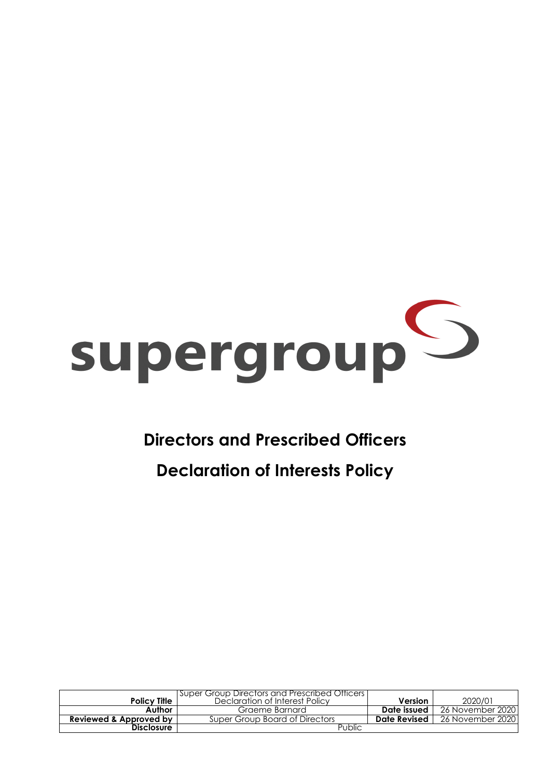

## **Directors and Prescribed Officers**

## **Declaration of Interests Policy**

|                        | <b>Super Group Directors and Prescribed Officers</b> |                |                    |
|------------------------|------------------------------------------------------|----------------|--------------------|
| <b>Policy Title  </b>  | Declaration of Interest Policy                       | <b>Version</b> | 2020/01            |
| Author                 | Graeme Barnard                                       | Date issued    | 26 November 2020 l |
| Reviewed & Approved by | Super Group Board of Directors                       | Date Revised   | 26 November 2020 l |
| <b>Disclosure</b>      | Public                                               |                |                    |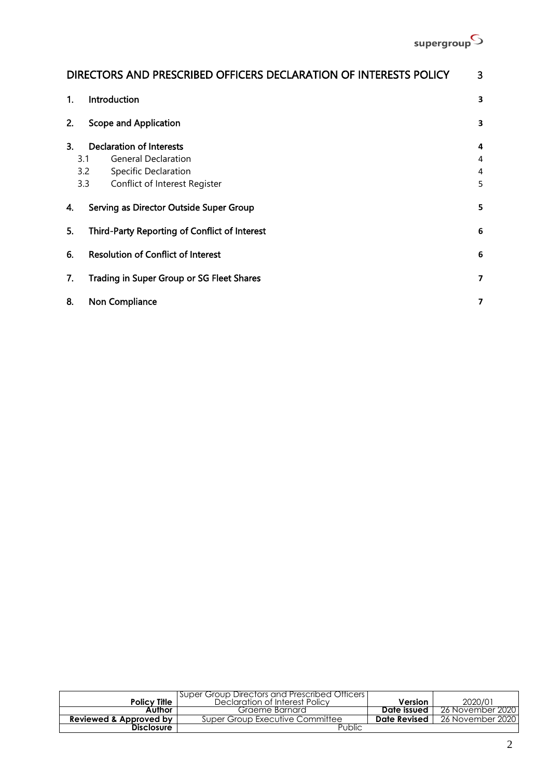

| DIRECTORS AND PRESCRIBED OFFICERS DECLARATION OF INTERESTS POLICY<br>3 |                          |  |  |
|------------------------------------------------------------------------|--------------------------|--|--|
| Introduction<br>1.                                                     |                          |  |  |
| <b>Scope and Application</b><br>2.                                     | 3                        |  |  |
| <b>Declaration of Interests</b><br>3.                                  | 4                        |  |  |
| <b>General Declaration</b><br>3.1                                      | 4                        |  |  |
| 3.2<br><b>Specific Declaration</b>                                     | $\overline{4}$           |  |  |
| 3.3<br>Conflict of Interest Register                                   | 5                        |  |  |
| Serving as Director Outside Super Group<br>4.                          | 5                        |  |  |
| 5.<br>Third-Party Reporting of Conflict of Interest                    | 6                        |  |  |
| <b>Resolution of Conflict of Interest</b><br>6.                        | 6                        |  |  |
| 7.<br>Trading in Super Group or SG Fleet Shares                        | $\overline{\phantom{a}}$ |  |  |
| 8.<br>Non Compliance                                                   | 7                        |  |  |

|                                   | I Super Group Directors and Prescribed Officers I |              |                  |
|-----------------------------------|---------------------------------------------------|--------------|------------------|
| <b>Policy Title</b>               | Declaration of Interest Policy                    | Version      | 2020/01          |
| Author                            | Graeme Barnard                                    | Date issued  | 26 November 2020 |
| <b>Reviewed &amp; Approved by</b> | Super Group Executive Committee                   | Date Revised | 26 November 2020 |
| <b>Disclosure</b>                 | Public                                            |              |                  |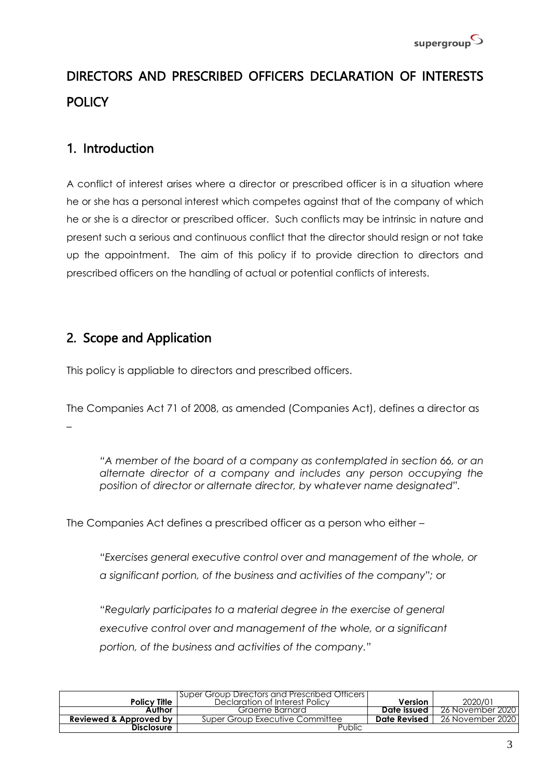# <span id="page-2-0"></span>DIRECTORS AND PRESCRIBED OFFICERS DECLARATION OF INTERESTS **POLICY**

## <span id="page-2-1"></span>1. Introduction

A conflict of interest arises where a director or prescribed officer is in a situation where he or she has a personal interest which competes against that of the company of which he or she is a director or prescribed officer. Such conflicts may be intrinsic in nature and present such a serious and continuous conflict that the director should resign or not take up the appointment. The aim of this policy if to provide direction to directors and prescribed officers on the handling of actual or potential conflicts of interests.

## <span id="page-2-2"></span>2. Scope and Application

This policy is appliable to directors and prescribed officers.

The Companies Act 71 of 2008, as amended (Companies Act), defines a director as –

*"A member of the board of a company as contemplated in section 66, or an alternate director of a company and includes any person occupying the position of director or alternate director, by whatever name designated".*

The Companies Act defines a prescribed officer as a person who either –

*"Exercises general executive control over and management of the whole, or a significant portion, of the business and activities of the company";* or

*"Regularly participates to a material degree in the exercise of general executive control over and management of the whole, or a significant portion, of the business and activities of the company."*

| <b>Policy Title</b>    | <b>Super Group Directors and Prescribed Officers  </b><br>Declaration of Interest Policy | Version      | 2020/01          |
|------------------------|------------------------------------------------------------------------------------------|--------------|------------------|
| Author                 | Graeme Barnard                                                                           | Date issued  | 26 November 2020 |
| Reviewed & Approved by | Super Group Executive Committee                                                          | Date Revised | 26 November 2020 |
| <b>Disclosure</b>      | Public                                                                                   |              |                  |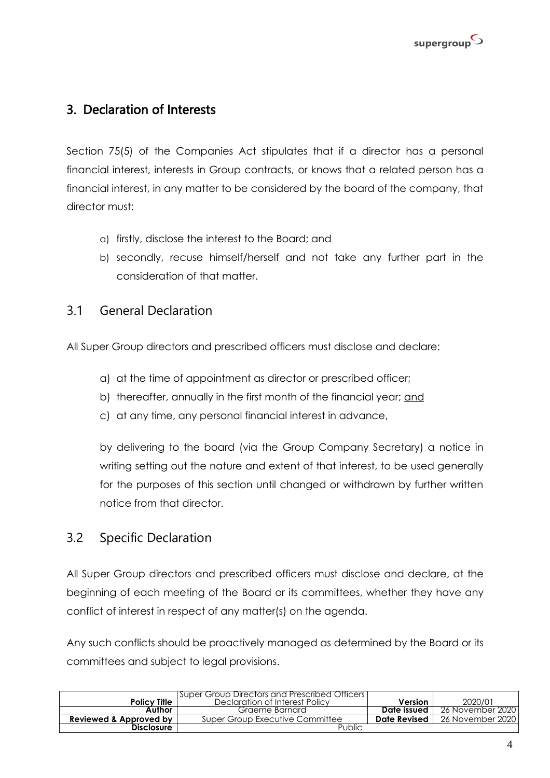

## <span id="page-3-0"></span>3. Declaration of Interests

Section 75(5) of the Companies Act stipulates that if a director has a personal financial interest, interests in Group contracts, or knows that a related person has a financial interest, in any matter to be considered by the board of the company, that director must:

- a) firstly, disclose the interest to the Board; and
- b) secondly, recuse himself/herself and not take any further part in the consideration of that matter.

#### <span id="page-3-1"></span>3.1 General Declaration

All Super Group directors and prescribed officers must disclose and declare:

- a) at the time of appointment as director or prescribed officer;
- b) thereafter, annually in the first month of the financial year; and
- c) at any time, any personal financial interest in advance,

by delivering to the board (via the Group Company Secretary) a notice in writing setting out the nature and extent of that interest, to be used generally for the purposes of this section until changed or withdrawn by further written notice from that director.

#### <span id="page-3-2"></span>3.2 Specific Declaration

All Super Group directors and prescribed officers must disclose and declare, at the beginning of each meeting of the Board or its committees, whether they have any conflict of interest in respect of any matter(s) on the agenda.

Any such conflicts should be proactively managed as determined by the Board or its committees and subject to legal provisions.

| <b>Policy Title</b>    | Super Group Directors and Prescribed Officers<br>Declaration of Interest Policy | Version      | 2020/01          |
|------------------------|---------------------------------------------------------------------------------|--------------|------------------|
| Author                 | Graeme Barnard                                                                  | Date issued  | 26 November 2020 |
| Reviewed & Approved by | Super Group Executive Committee                                                 | Date Revised | 26 November 2020 |
| <b>Disclosure</b>      | Public                                                                          |              |                  |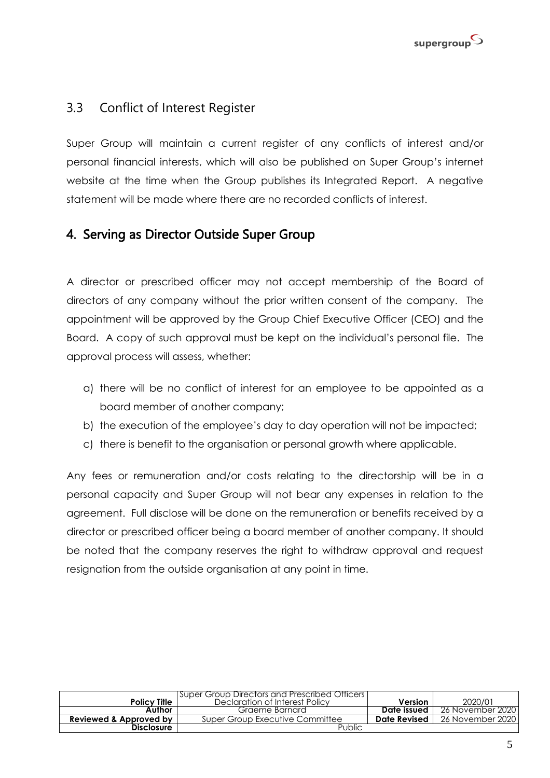

#### <span id="page-4-0"></span>3.3 Conflict of Interest Register

Super Group will maintain a current register of any conflicts of interest and/or personal financial interests, which will also be published on Super Group's internet website at the time when the Group publishes its Integrated Report. A negative statement will be made where there are no recorded conflicts of interest.

#### <span id="page-4-1"></span>4. Serving as Director Outside Super Group

A director or prescribed officer may not accept membership of the Board of directors of any company without the prior written consent of the company. The appointment will be approved by the Group Chief Executive Officer (CEO) and the Board. A copy of such approval must be kept on the individual's personal file. The approval process will assess, whether:

- a) there will be no conflict of interest for an employee to be appointed as a board member of another company;
- b) the execution of the employee's day to day operation will not be impacted;
- c) there is benefit to the organisation or personal growth where applicable.

Any fees or remuneration and/or costs relating to the directorship will be in a personal capacity and Super Group will not bear any expenses in relation to the agreement. Full disclose will be done on the remuneration or benefits received by a director or prescribed officer being a board member of another company. It should be noted that the company reserves the right to withdraw approval and request resignation from the outside organisation at any point in time.

|                        | Super Group Directors and Prescribed Officers |              |                  |
|------------------------|-----------------------------------------------|--------------|------------------|
| <b>Policy Title</b>    | Declaration of Interest Policy                | Version      | 2020/01          |
| Author                 | Graeme Barnard                                | Date issued  | 26 November 2020 |
| Reviewed & Approved by | Super Group Executive Committee               | Date Revised | 26 November 2020 |
| <b>Disclosure</b>      | Public                                        |              |                  |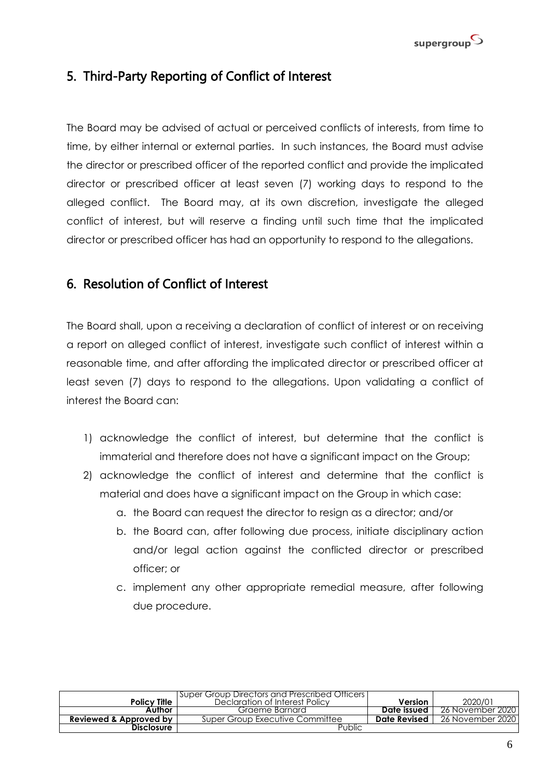

## <span id="page-5-0"></span>5. Third-Party Reporting of Conflict of Interest

The Board may be advised of actual or perceived conflicts of interests, from time to time, by either internal or external parties. In such instances, the Board must advise the director or prescribed officer of the reported conflict and provide the implicated director or prescribed officer at least seven (7) working days to respond to the alleged conflict. The Board may, at its own discretion, investigate the alleged conflict of interest, but will reserve a finding until such time that the implicated director or prescribed officer has had an opportunity to respond to the allegations.

#### <span id="page-5-1"></span>6. Resolution of Conflict of Interest

The Board shall, upon a receiving a declaration of conflict of interest or on receiving a report on alleged conflict of interest, investigate such conflict of interest within a reasonable time, and after affording the implicated director or prescribed officer at least seven (7) days to respond to the allegations. Upon validating a conflict of interest the Board can:

- 1) acknowledge the conflict of interest, but determine that the conflict is immaterial and therefore does not have a significant impact on the Group;
- 2) acknowledge the conflict of interest and determine that the conflict is material and does have a significant impact on the Group in which case:
	- a. the Board can request the director to resign as a director; and/or
	- b. the Board can, after following due process, initiate disciplinary action and/or legal action against the conflicted director or prescribed officer; or
	- c. implement any other appropriate remedial measure, after following due procedure.

| <b>Policy Title</b>    | Super Group Directors and Prescribed Officers  <br>Declaration of Interest Policy | Version      | 2020/01          |
|------------------------|-----------------------------------------------------------------------------------|--------------|------------------|
| Author                 | Graeme Barnard                                                                    | Date issued  | 26 November 2020 |
| Reviewed & Approved by | Super Group Executive Committee                                                   | Date Revised | 26 November 2020 |
| <b>Disclosure</b>      | Public                                                                            |              |                  |